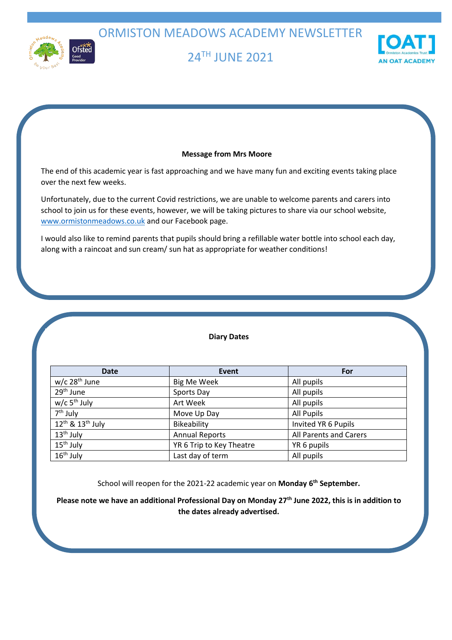ORMISTON MEADOWS ACADEMY NEWSLETTER



# 24 TH JUNE 2021



# **Message from Mrs Moore**

The end of this academic year is fast approaching and we have many fun and exciting events taking place over the next few weeks.

Unfortunately, due to the current Covid restrictions, we are unable to welcome parents and carers into school to join us for these events, however, we will be taking pictures to share via our school website, [www.ormistonmeadows.co.uk](http://www.ormistonmeadows.co.uk/) and our Facebook page.

I would also like to remind parents that pupils should bring a refillable water bottle into school each day, along with a raincoat and sun cream/ sun hat as appropriate for weather conditions!

# **Diary Dates**

| <b>Date</b>                 | Event                    | For                    |
|-----------------------------|--------------------------|------------------------|
| $w/c$ 28 <sup>th</sup> June | <b>Big Me Week</b>       | All pupils             |
| 29 <sup>th</sup> June       | Sports Day               | All pupils             |
| $w/c$ 5 <sup>th</sup> July  | Art Week                 | All pupils             |
| $7th$ July                  | Move Up Day              | All Pupils             |
| $12^{th}$ & $13^{th}$ July  | Bikeability              | Invited YR 6 Pupils    |
| $13th$ July                 | <b>Annual Reports</b>    | All Parents and Carers |
| 15 <sup>th</sup> July       | YR 6 Trip to Key Theatre | YR 6 pupils            |
| 16 <sup>th</sup> July       | Last day of term         | All pupils             |

School will reopen for the 2021-22 academic year on **Monday 6th September.**

**Please note we have an additional Professional Day on Monday 27th June 2022, this is in addition to the dates already advertised.**